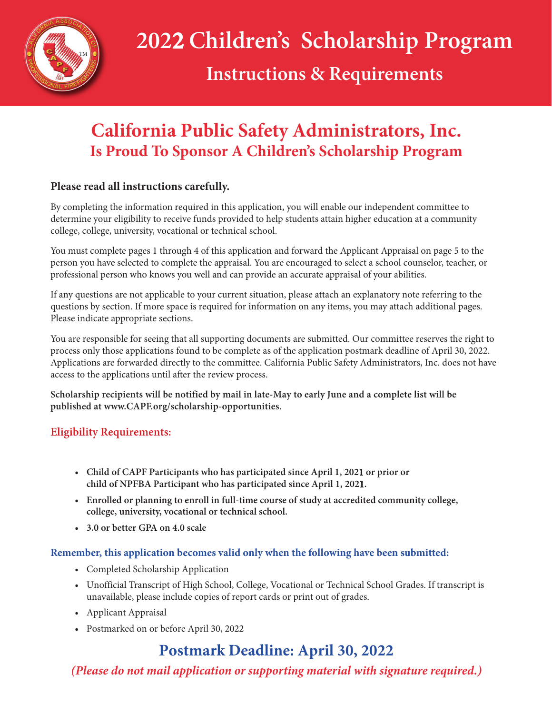

# **Instructions & Requirements**

# **California Public Safety Administrators, Inc. Is Proud To Sponsor A Children's Scholarship Program**

# **Please read all instructions carefully.**

By completing the information required in this application, you will enable our independent committee to determine your eligibility to receive funds provided to help students attain higher education at a community college, college, university, vocational or technical school.

You must complete pages 1 through 4 of this application and forward the Applicant Appraisal on page 5 to the person you have selected to complete the appraisal. You are encouraged to select a school counselor, teacher, or professional person who knows you well and can provide an accurate appraisal of your abilities.

If any questions are not applicable to your current situation, please attach an explanatory note referring to the questions by section. If more space is required for information on any items, you may attach additional pages. Please indicate appropriate sections.

You are responsible for seeing that all supporting documents are submitted. Our committee reserves the right to process only those applications found to be complete as of the application postmark deadline of April 30, 2022. Applications are forwarded directly to the committee. California Public Safety Administrators, Inc. does not have access to the applications until after the review process.

**Scholarship recipients will be notified by mail in late-May to early June and a complete list will be published at www.CAPF.org/scholarship-opportunities**.

# **Eligibility Requirements:**

- **Child of CAPF Participants who has participated since April 1, 2021 or prior or child of NPFBA Participant who has participated since April 1, 2021.**
- **Enrolled or planning to enroll in full-time course of study at accredited community college, college, university, vocational or technical school.**
- **3.0 or better GPA on 4.0 scale**

### **Remember, this application becomes valid only when the following have been submitted:**

- Completed Scholarship Application
- Unofficial Transcript of High School, College, Vocational or Technical School Grades. If transcript is unavailable, please include copies of report cards or print out of grades.
- Applicant Appraisal
- Postmarked on or before April 30, 2022

# **Postmark Deadline: April 30, 2022**

*(Please do not mail application or supporting material with signature required.)*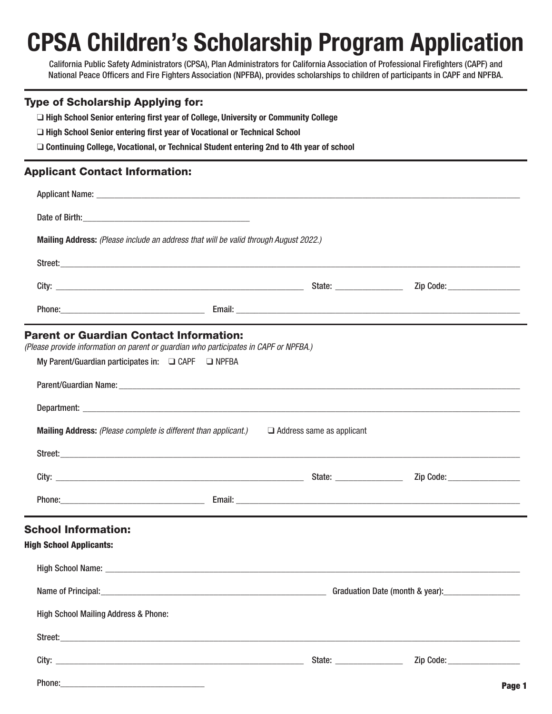# CPSA Children's Scholarship Program Application

California Public Safety Administrators (CPSA), Plan Administrators for California Association of Professional Firefighters (CAPF) and National Peace Officers and Fire Fighters Association (NPFBA), provides scholarships to children of participants in CAPF and NPFBA.

#### Type of Scholarship Applying for:

❑ High School Senior entering first year of College, University or Community College

❑ High School Senior entering first year of Vocational or Technical School

❑ Continuing College, Vocational, or Technical Student entering 2nd to 4th year of school

#### Applicant Contact Information:

|                                                                                                      | Mailing Address: (Please include an address that will be valid through August 2022.)                                                                                                             |                      |                                                                                                                                                                                                                                |      |
|------------------------------------------------------------------------------------------------------|--------------------------------------------------------------------------------------------------------------------------------------------------------------------------------------------------|----------------------|--------------------------------------------------------------------------------------------------------------------------------------------------------------------------------------------------------------------------------|------|
|                                                                                                      |                                                                                                                                                                                                  |                      |                                                                                                                                                                                                                                |      |
|                                                                                                      |                                                                                                                                                                                                  |                      | Zip Code: ___________________                                                                                                                                                                                                  |      |
|                                                                                                      |                                                                                                                                                                                                  |                      |                                                                                                                                                                                                                                |      |
| <b>Parent or Guardian Contact Information:</b><br>My Parent/Guardian participates in: Q CAPF Q NPFBA | (Please provide information on parent or guardian who participates in CAPF or NPFBA.)<br><b>Mailing Address:</b> (Please complete is different than applicant.) $\Box$ Address same as applicant |                      | Street:<br>Zip Code: Marian Marian Maria Code:                                                                                                                                                                                 |      |
|                                                                                                      |                                                                                                                                                                                                  |                      | Phone: etc. and a series of the series of the series of the series of the series of the series of the series of the series of the series of the series of the series of the series of the series of the series of the series o |      |
| <b>School Information:</b><br><b>High School Applicants:</b><br>Name of Principal:                   |                                                                                                                                                                                                  |                      |                                                                                                                                                                                                                                |      |
| <b>High School Mailing Address &amp; Phone:</b>                                                      |                                                                                                                                                                                                  |                      |                                                                                                                                                                                                                                |      |
|                                                                                                      |                                                                                                                                                                                                  |                      |                                                                                                                                                                                                                                |      |
|                                                                                                      |                                                                                                                                                                                                  | State: $\frac{1}{2}$ |                                                                                                                                                                                                                                |      |
| Phone:                                                                                               |                                                                                                                                                                                                  |                      |                                                                                                                                                                                                                                | Dono |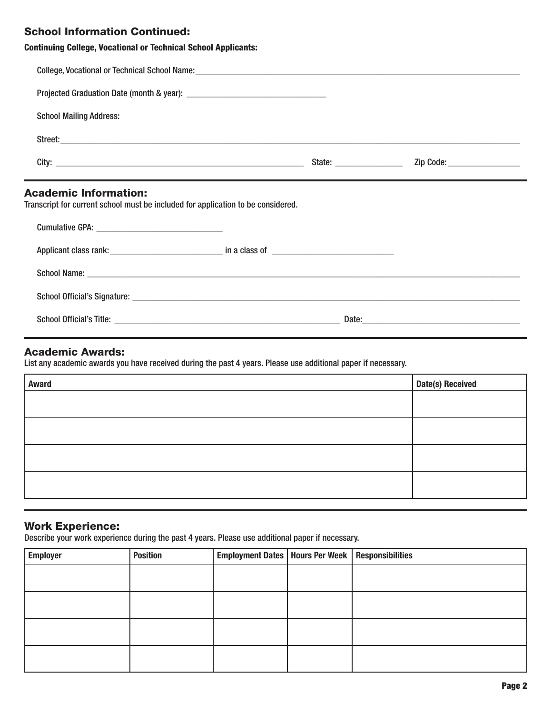# School Information Continued:

|  | <b>Continuing College, Vocational or Technical School Applicants:</b> |  |  |  |
|--|-----------------------------------------------------------------------|--|--|--|
|--|-----------------------------------------------------------------------|--|--|--|

| <b>School Mailing Address:</b>                                                   |  |  |
|----------------------------------------------------------------------------------|--|--|
|                                                                                  |  |  |
|                                                                                  |  |  |
| <b>Academic Information:</b>                                                     |  |  |
| Transcript for current school must be included for application to be considered. |  |  |
|                                                                                  |  |  |
|                                                                                  |  |  |
|                                                                                  |  |  |

#### Academic Awards:

List any academic awards you have received during the past 4 years. Please use additional paper if necessary.

| <b>Award</b> | Date(s) Received |
|--------------|------------------|
|              |                  |
|              |                  |
|              |                  |
|              |                  |

## Work Experience:

Describe your work experience during the past 4 years. Please use additional paper if necessary.

| <b>Employer</b> | <b>Position</b> | Employment Dates   Hours Per Week   Responsibilities |  |
|-----------------|-----------------|------------------------------------------------------|--|
|                 |                 |                                                      |  |
|                 |                 |                                                      |  |
|                 |                 |                                                      |  |
|                 |                 |                                                      |  |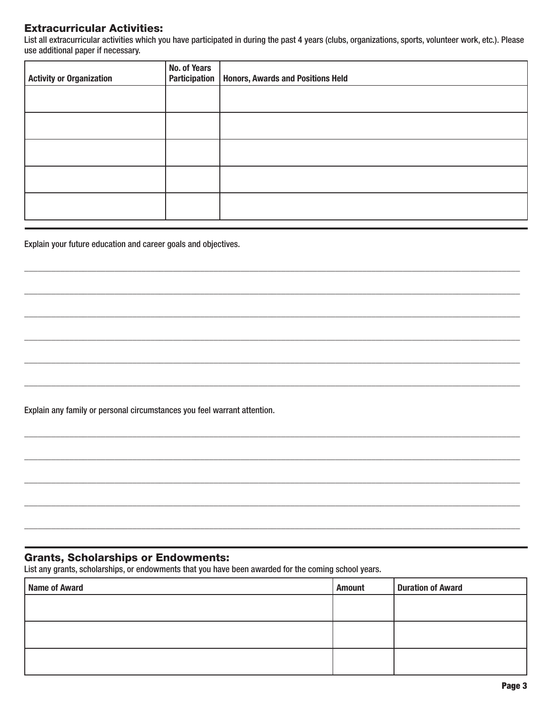## **Extracurricular Activities:**

List all extracurricular activities which you have participated in during the past 4 years (clubs, organizations, sports, volunteer work, etc.). Please use additional paper if necessary.

| <b>Activity or Organization</b> | No. of Years<br>Participation | <b>Honors, Awards and Positions Held</b> |
|---------------------------------|-------------------------------|------------------------------------------|
|                                 |                               |                                          |
|                                 |                               |                                          |
|                                 |                               |                                          |
|                                 |                               |                                          |
|                                 |                               |                                          |

Explain your future education and career goals and objectives.

Explain any family or personal circumstances you feel warrant attention.

## **Grants, Scholarships or Endowments:**

List any grants, scholarships, or endowments that you have been awarded for the coming school years.

| <b>Name of Award</b> | <b>Amount</b> | <b>Duration of Award</b> |
|----------------------|---------------|--------------------------|
|                      |               |                          |
|                      |               |                          |
|                      |               |                          |
|                      |               |                          |
|                      |               |                          |
|                      |               |                          |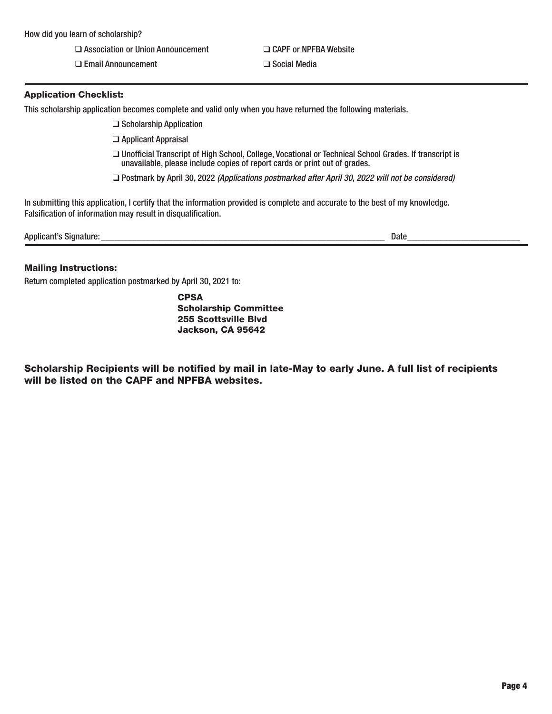❑ Association or Union Announcement ❑ CAPF or NPFBA Website

❑ Email Announcement ❑ Social Media

#### Application Checklist:

This scholarship application becomes complete and valid only when you have returned the following materials.

❑ Scholarship Application

- ❑ Applicant Appraisal
- ❑ Unofficial Transcript of High School, College, Vocational or Technical School Grades. If transcript is unavailable, please include copies of report cards or print out of grades.

❑ Postmark by April 30, 2022 *(Applications postmarked after* April 30*, 202*2 *will not be considered)*

In submitting this application, I certify that the information provided is complete and accurate to the best of my knowledge. Falsification of information may result in disqualification.

| <b>Applicant's Signature:</b> | Date |  |
|-------------------------------|------|--|
|                               |      |  |

#### Mailing Instructions:

Return completed application postmarked by April 30, 2021 to:

**CPSA** Scholarship Committee 255 Scottsville Blvd Jackson, CA 95642

Scholarship Recipients will be notified by mail in late-May to early June. A full list of recipients will be listed on the CAPF and NPFBA websites.